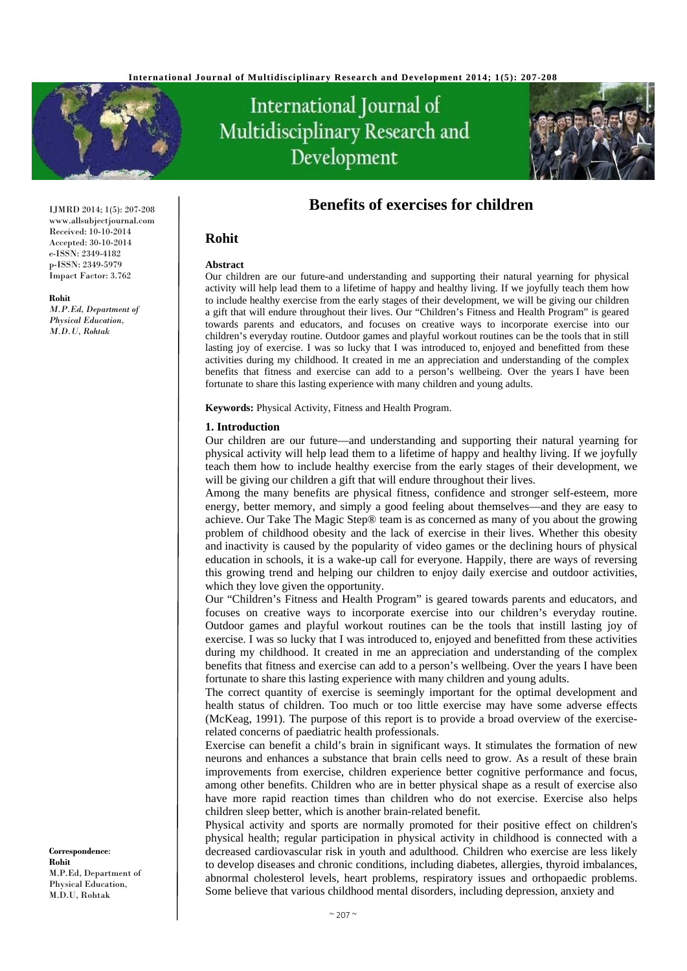

# International Journal of Multidisciplinary Research and Development



#### IJMRD 2014; 1(5): 207-208 www.allsubjectjournal.com Received: 10-10-2014 Accepted: 30-10-2014 e-ISSN: 2349-4182 p-ISSN: 2349-5979 Impact Factor: 3.762

**Rohit** *M.P.Ed, Department of Physical Education, M.D.U, Rohtak* 

**Benefits of exercises for children**

## **Rohit**

#### **Abstract**

Our children are our future-and understanding and supporting their natural yearning for physical activity will help lead them to a lifetime of happy and healthy living. If we joyfully teach them how to include healthy exercise from the early stages of their development, we will be giving our children a gift that will endure throughout their lives. Our "Children's Fitness and Health Program" is geared towards parents and educators, and focuses on creative ways to incorporate exercise into our children's everyday routine. Outdoor games and playful workout routines can be the tools that in still lasting joy of exercise. I was so lucky that I was introduced to, enjoyed and benefitted from these activities during my childhood. It created in me an appreciation and understanding of the complex benefits that fitness and exercise can add to a person's wellbeing. Over the years I have been fortunate to share this lasting experience with many children and young adults.

**Keywords:** Physical Activity, Fitness and Health Program.

#### **1. Introduction**

Our children are our future—and understanding and supporting their natural yearning for physical activity will help lead them to a lifetime of happy and healthy living. If we joyfully teach them how to include healthy exercise from the early stages of their development, we will be giving our children a gift that will endure throughout their lives.

Among the many benefits are physical fitness, confidence and stronger self-esteem, more energy, better memory, and simply a good feeling about themselves—and they are easy to achieve. Our Take The Magic Step® team is as concerned as many of you about the growing problem of childhood obesity and the lack of exercise in their lives. Whether this obesity and inactivity is caused by the popularity of video games or the declining hours of physical education in schools, it is a wake-up call for everyone. Happily, there are ways of reversing this growing trend and helping our children to enjoy daily exercise and outdoor activities, which they love given the opportunity.

Our "Children's Fitness and Health Program" is geared towards parents and educators, and focuses on creative ways to incorporate exercise into our children's everyday routine. Outdoor games and playful workout routines can be the tools that instill lasting joy of exercise. I was so lucky that I was introduced to, enjoyed and benefitted from these activities during my childhood. It created in me an appreciation and understanding of the complex benefits that fitness and exercise can add to a person's wellbeing. Over the years I have been fortunate to share this lasting experience with many children and young adults.

The correct quantity of exercise is seemingly important for the optimal development and health status of children. Too much or too little exercise may have some adverse effects (McKeag, 1991). The purpose of this report is to provide a broad overview of the exerciserelated concerns of paediatric health professionals.

Exercise can benefit a child's brain in significant ways. It stimulates the formation of new neurons and enhances a substance that brain cells need to grow. As a result of these brain improvements from exercise, children experience better cognitive performance and focus, among other benefits. Children who are in better physical shape as a result of exercise also have more rapid reaction times than children who do not exercise. Exercise also helps children sleep better, which is another brain-related benefit.

Physical activity and sports are normally promoted for their positive effect on children's physical health; regular participation in physical activity in childhood is connected with a decreased cardiovascular risk in youth and adulthood. Children who exercise are less likely to develop diseases and chronic conditions, including diabetes, allergies, thyroid imbalances, abnormal cholesterol levels, heart problems, respiratory issues and orthopaedic problems. Some believe that various childhood mental disorders, including depression, anxiety and

**Correspondence**: **Rohit** M.P.Ed, Department of Physical Education, M.D.U, Rohtak